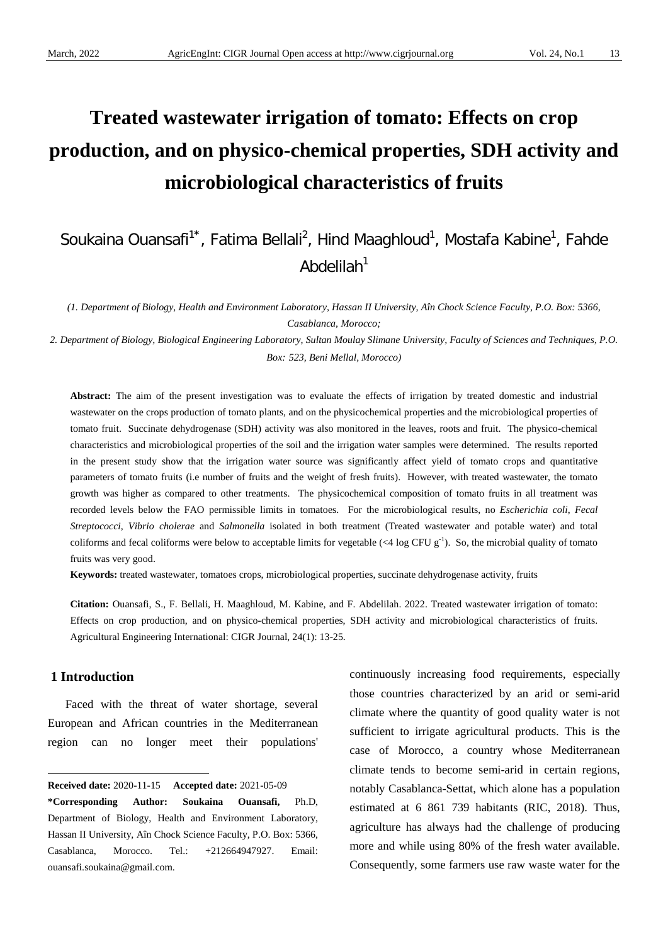# **Treated wastewater irrigation of tomato: Effects on crop production, and on physico-chemical properties, SDH activity and microbiological characteristics of fruits**

# Soukaina Ouansafi<sup>1\*</sup>, Fatima Bellali<sup>2</sup>, Hind Maaghloud<sup>1</sup>, Mostafa Kabine<sup>1</sup>, Fahde Abdelilah $1$

*(1. Department of Biology, Health and Environment Laboratory, Hassan II University, Aîn Chock Science Faculty, P.O. Box: 5366, Casablanca, Morocco;*

*2. Department of Biology, Biological Engineering Laboratory, Sultan Moulay Slimane University, Faculty of Sciences and Techniques, P.O. Box: 523, Beni Mellal, Morocco)*

**Abstract:** The aim of the present investigation was to evaluate the effects of irrigation by treated domestic and industrial wastewater on the crops production of tomato plants, and on the physicochemical properties and the microbiological properties of tomato fruit. Succinate dehydrogenase (SDH) activity was also monitored in the leaves, roots and fruit. The physico-chemical characteristics and microbiological properties of the soil and the irrigation water samples were determined. The results reported in the present study show that the irrigation water source was significantly affect yield of tomato crops and quantitative parameters of tomato fruits (i.e number of fruits and the weight of fresh fruits). However, with treated wastewater, the tomato growth was higher as compared to other treatments. The physicochemical composition of tomato fruits in all treatment was recorded levels below the FAO permissible limits in tomatoes. For the microbiological results, no *Escherichia coli*, *Fecal Streptococci*, *Vibrio cholerae* and *Salmonella* isolated in both treatment (Treated wastewater and potable water) and total coliforms and fecal coliforms were below to acceptable limits for vegetable  $( $4 \log \text{CFU} \text{ g}^{-1}$ ). So, the microbial quality of tomato$ fruits was very good.

**Keywords:** treated wastewater, tomatoes crops, microbiological properties, succinate dehydrogenase activity, fruits

**Citation:** Ouansafi, S., F. Bellali, H. Maaghloud, M. Kabine, and F. Abdelilah. 2022. Treated wastewater irrigation of tomato: Effects on crop production, and on physico-chemical properties, SDH activity and microbiological characteristics of fruits. Agricultural Engineering International: CIGR Journal, 24(1): 13-25.

# **1 Introduction**

 $\overline{a}$ 

Faced with the threat of water shortage, several European and African countries in the Mediterranean region can no longer meet their populations'

continuously increasing food requirements, especially those countries characterized by an arid or semi-arid climate where the quantity of good quality water is not sufficient to irrigate agricultural products. This is the case of Morocco, a country whose Mediterranean climate tends to become semi-arid in certain regions, notably Casablanca-Settat, which alone has a population estimated at 6 861 739 habitants (RIC, 2018). Thus, agriculture has always had the challenge of producing more and while using 80% of the fresh water available. Consequently, some farmers use raw waste water for the

<span id="page-0-0"></span>**Received date:** 2020-11-15 **Accepted date:** 2021-05-09

**<sup>\*</sup>Corresponding Author: Soukaina Ouansafi,** Ph.D, Department of Biology, Health and Environment Laboratory, Hassan II University, Aîn Chock Science Faculty, P.O. Box: 5366, Casablanca, Morocco. Tel.: +212664947927. Email: ouansafi.soukaina@gmail.com.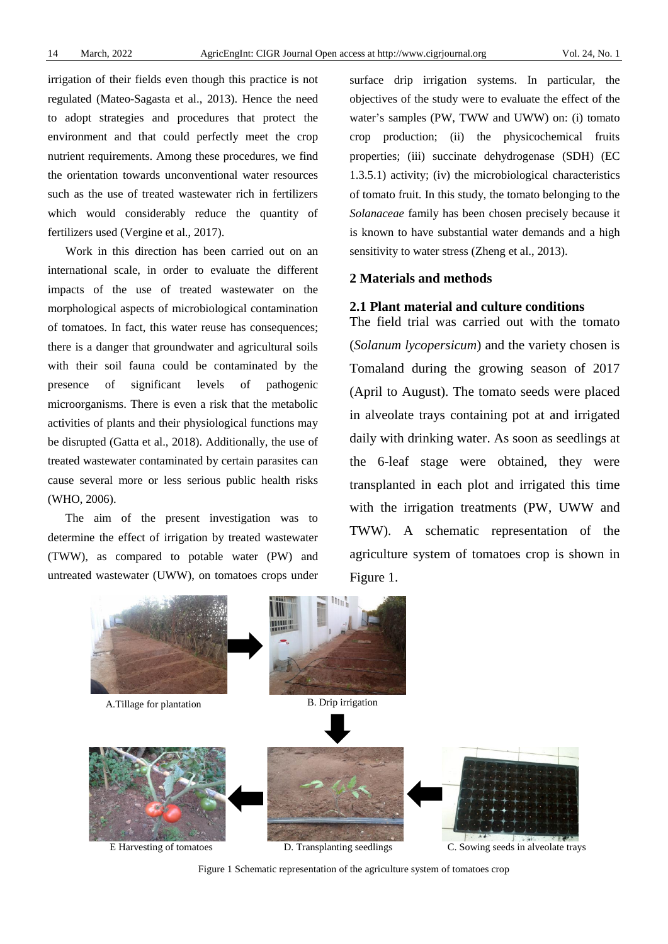irrigation of their fields even though this practice is not regulated (Mateo-Sagasta et al., 2013). Hence the need to adopt strategies and procedures that protect the environment and that could perfectly meet the crop nutrient requirements. Among these procedures, we find the orientation towards unconventional water resources such as the use of treated wastewater rich in fertilizers which would considerably reduce the quantity of fertilizers used (Vergine et al., 2017).

Work in this direction has been carried out on an international scale, in order to evaluate the different impacts of the use of treated wastewater on the morphological aspects of microbiological contamination of tomatoes. In fact, this water reuse has consequences; there is a danger that groundwater and agricultural soils with their soil fauna could be contaminated by the presence of significant levels of pathogenic microorganisms. There is even a risk that the metabolic activities of plants and their physiological functions may be disrupted (Gatta et al., 2018). Additionally, the use of treated wastewater contaminated by certain parasites can cause several more or less serious public health risks (WHO, 2006).

The aim of the present investigation was to determine the effect of irrigation by treated wastewater (TWW), as compared to potable water (PW) and untreated wastewater (UWW), on tomatoes crops under

surface drip irrigation systems. In particular, the objectives of the study were to evaluate the effect of the water's samples (PW, TWW and UWW) on: (i) tomato crop production; (ii) the physicochemical fruits properties; (iii) succinate dehydrogenase (SDH) (EC 1.3.5.1) activity; (iv) the microbiological characteristics of tomato fruit. In this study, the tomato belonging to the *Solanaceae* family has been chosen precisely because it is known to have substantial water demands and a high sensitivity to water stress (Zheng et al., 2013).

# **2 Materials and methods**

# **2.1 Plant material and culture conditions**

The field trial was carried out with the tomato (*Solanum lycopersicum*) and the variety chosen is Tomaland during the growing season of 2017 (April to August). The tomato seeds were placed in alveolate trays containing pot at and irrigated daily with drinking water. As soon as seedlings at the 6-leaf stage were obtained, they were transplanted in each plot and irrigated this time with the irrigation treatments (PW, UWW and TWW). A schematic representation of the agriculture system of tomatoes crop is shown in Figure 1.



Figure 1 Schematic representation of the agriculture system of tomatoes crop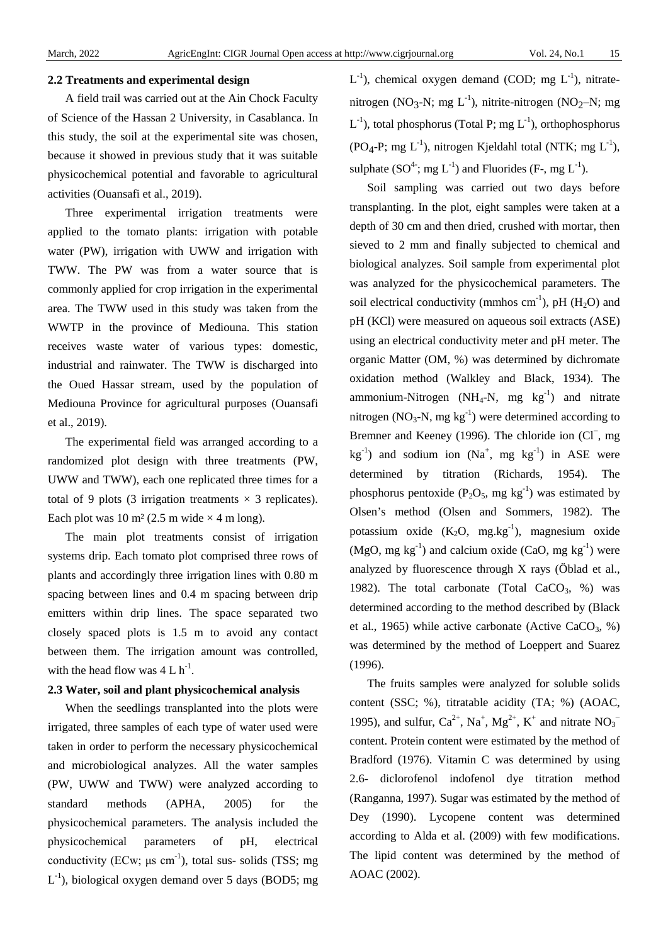# **2.2 Treatments and experimental design**

A field trail was carried out at the Ain Chock Faculty of Science of the Hassan 2 University, in Casablanca. In this study, the soil at the experimental site was chosen, because it showed in previous study that it was suitable physicochemical potential and favorable to agricultural activities (Ouansafi et al., 2019).

Three experimental irrigation treatments were applied to the tomato plants: irrigation with potable water (PW), irrigation with UWW and irrigation with TWW. The PW was from a water source that is commonly applied for crop irrigation in the experimental area. The TWW used in this study was taken from the WWTP in the province of Mediouna. This station receives waste water of various types: domestic, industrial and rainwater. The TWW is discharged into the Oued Hassar stream, used by the population of Mediouna Province for agricultural purposes (Ouansafi et al., 2019).

The experimental field was arranged according to a randomized plot design with three treatments (PW, UWW and TWW), each one replicated three times for a total of 9 plots (3 irrigation treatments  $\times$  3 replicates). Each plot was 10 m<sup>2</sup> (2.5 m wide  $\times$  4 m long).

The main plot treatments consist of irrigation systems drip. Each tomato plot comprised three rows of plants and accordingly three irrigation lines with 0.80 m spacing between lines and 0.4 m spacing between drip emitters within drip lines. The space separated two closely spaced plots is 1.5 m to avoid any contact between them. The irrigation amount was controlled, with the head flow was  $4 L h^{-1}$ .

# **2.3 Water, soil and plant physicochemical analysis**

When the seedlings transplanted into the plots were irrigated, three samples of each type of water used were taken in order to perform the necessary physicochemical and microbiological analyzes. All the water samples (PW, UWW and TWW) were analyzed according to standard methods (APHA, 2005) for the physicochemical parameters. The analysis included the physicochemical parameters of pH, electrical conductivity (ECw;  $\mu$ s cm<sup>-1</sup>), total sus- solids (TSS; mg  $L^{-1}$ ), biological oxygen demand over 5 days (BOD5; mg  $L^{-1}$ ), chemical oxygen demand (COD; mg  $L^{-1}$ ), nitratenitrogen (NO<sub>3</sub>-N; mg  $L^{-1}$ ), nitrite-nitrogen (NO<sub>2</sub>-N; mg  $L^{-1}$ ), total phosphorus (Total P; mg  $L^{-1}$ ), orthophosphorus (PO<sub>4</sub>-P; mg  $L^{-1}$ ), nitrogen Kjeldahl total (NTK; mg  $L^{-1}$ ), sulphate  $(SO<sup>4</sup>$ ; mg  $L<sup>-1</sup>$ ) and Fluorides (F-, mg  $L<sup>-1</sup>$ ).

Soil sampling was carried out two days before transplanting. In the plot, eight samples were taken at a depth of 30 cm and then dried, crushed with mortar, then sieved to 2 mm and finally subjected to chemical and biological analyzes. Soil sample from experimental plot was analyzed for the physicochemical parameters. The soil electrical conductivity (mmhos  $cm^{-1}$ ), pH (H<sub>2</sub>O) and pH (KCl) were measured on aqueous soil extracts (ASE) using an electrical conductivity meter and pH meter. The organic Matter (OM, %) was determined by dichromate oxidation method (Walkley and Black, 1934). The ammonium-Nitrogen (NH<sub>4</sub>-N, mg  $kg^{-1}$ ) and nitrate nitrogen (NO<sub>3</sub>-N, mg  $kg^{-1}$ ) were determined according to Bremner and Keeney (1996). The chloride ion (Cl +, mg  $kg^{-1}$ ) and sodium ion (Na<sup>+</sup>, mg kg<sup>-1</sup>) in ASE were determined by titration (Richards, 1954). The phosphorus pentoxide ( $P_2O_5$ , mg kg<sup>-1</sup>) was estimated by Olsen's method (Olsen and Sommers, 1982). The potassium oxide  $(K_2O, mg.kg^{-1})$ , magnesium oxide  $(MgO, mg kg^{-1})$  and calcium oxide (CaO, mg kg<sup>-1</sup>) were analyzed by fluorescence through X rays (Öblad et al., 1982). The total carbonate (Total CaCO<sub>3</sub>, %) was determined according to the method described by (Black et al., 1965) while active carbonate (Active CaCO<sub>3</sub>, %) was determined by the method of Loeppert and Suarez (1996).

The fruits samples were analyzed for soluble solids content (SSC; %), titratable acidity (TA; %) (AOAC, 1995), and sulfur,  $Ca^{2+}$ ,  $Na^{+}$ ,  $Mg^{2+}$ ,  $K^{+}$  and nitrate  $NO_3^$ content. Protein content were estimated by the method of Bradford (1976). Vitamin C was determined by using 2.6- diclorofenol indofenol dye titration method (Ranganna, 1997). Sugar was estimated by the method of Dey (1990). Lycopene content was determined according to Alda et al. (2009) with few modifications. The lipid content was determined by the method of AOAC (2002).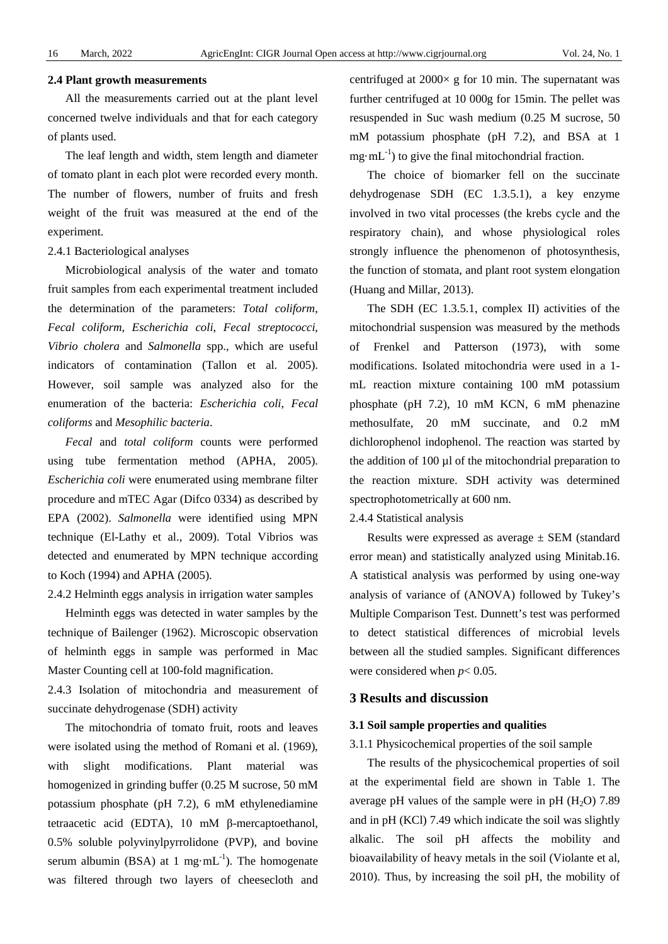#### **2.4 Plant growth measurements**

All the measurements carried out at the plant level concerned twelve individuals and that for each category of plants used.

The leaf length and width, stem length and diameter of tomato plant in each plot were recorded every month. The number of flowers, number of fruits and fresh weight of the fruit was measured at the end of the experiment.

# 2.4.1 Bacteriological analyses

Microbiological analysis of the water and tomato fruit samples from each experimental treatment included the determination of the parameters: *Total coliform*, *Fecal coliform*, *Escherichia coli*, *Fecal streptococci*, *Vibrio cholera* and *Salmonella* spp., which are useful indicators of contamination (Tallon et al. 2005). However, soil sample was analyzed also for the enumeration of the bacteria: *Escherichia coli*, *Fecal coliforms* and *Mesophilic bacteria*.

*Fecal* and *total coliform* counts were performed using tube fermentation method (APHA, 2005). *Escherichia coli* were enumerated using membrane filter procedure and mTEC Agar (Difco 0334) as described by EPA (2002). *Salmonella* were identified using MPN technique (El-Lathy et al., 2009). Total Vibrios was detected and enumerated by MPN technique according to Koch (1994) and APHA (2005).

# 2.4.2 Helminth eggs analysis in irrigation water samples

Helminth eggs was detected in water samples by the technique of Bailenger (1962). Microscopic observation of helminth eggs in sample was performed in Mac Master Counting cell at 100-fold magnification.

2.4.3 Isolation of mitochondria and measurement of succinate dehydrogenase (SDH) activity

The mitochondria of tomato fruit, roots and leaves were isolated using the method of Romani et al. (1969), with slight modifications. Plant material was homogenized in grinding buffer (0.25 M sucrose, 50 mM potassium phosphate (pH 7.2), 6 mM ethylenediamine tetraacetic acid (EDTA), 10 mM β-mercaptoethanol, 0.5% soluble polyvinylpyrrolidone (PVP), and bovine serum albumin (BSA) at 1 mg·m $L^{-1}$ ). The homogenate was filtered through two layers of cheesecloth and

centrifuged at  $2000 \times g$  for 10 min. The supernatant was further centrifuged at 10 000g for 15min. The pellet was resuspended in Suc wash medium (0.25 M sucrose, 50 mM potassium phosphate (pH 7.2), and BSA at 1  $mg \cdot mL^{-1}$ ) to give the final mitochondrial fraction.

The choice of biomarker fell on the succinate dehydrogenase SDH (EC 1.3.5.1), a key enzyme involved in two vital processes (the krebs cycle and the respiratory chain), and whose physiological roles strongly influence the phenomenon of photosynthesis, the function of stomata, and plant root system elongation (Huang and Millar, 2013).

The SDH (EC 1.3.5.1, complex II) activities of the mitochondrial suspension was measured by the methods of Frenkel and Patterson (1973), with some modifications. Isolated mitochondria were used in a 1 mL reaction mixture containing 100 mM potassium phosphate (pH 7.2), 10 mM KCN, 6 mM phenazine methosulfate, 20 mM succinate, and 0.2 mM dichlorophenol indophenol. The reaction was started by the addition of  $100 \mu l$  of the mitochondrial preparation to the reaction mixture. SDH activity was determined spectrophotometrically at 600 nm.

2.4.4 Statistical analysis

Results were expressed as average  $\pm$  SEM (standard error mean) and statistically analyzed using Minitab.16. A statistical analysis was performed by using one-way analysis of variance of (ANOVA) followed by Tukey's Multiple Comparison Test. Dunnett's test was performed to detect statistical differences of microbial levels between all the studied samples. Significant differences were considered when  $p < 0.05$ .

# **3 Results and discussion**

## **3.1 Soil sample properties and qualities**

3.1.1 Physicochemical properties of the soil sample

The results of the physicochemical properties of soil at the experimental field are shown in Table 1. The average pH values of the sample were in pH  $(H<sub>2</sub>O)$  7.89 and in pH (KCl) 7.49 which indicate the soil was slightly alkalic. The soil pH affects the mobility and bioavailability of heavy metals in the soil (Violante et al, 2010). Thus, by increasing the soil pH, the mobility of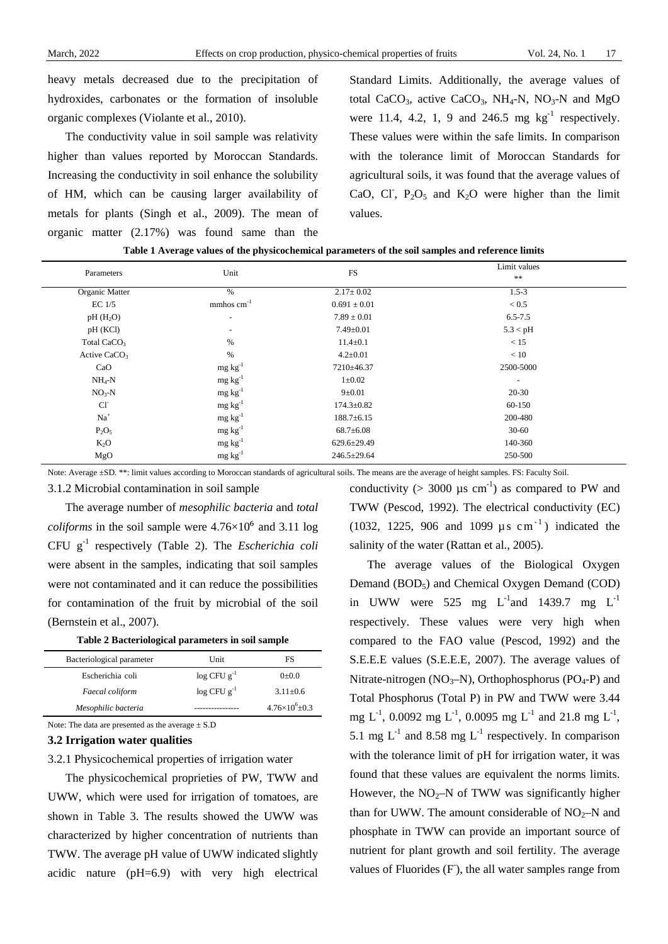heavy metals decreased due to the precipitation of hydroxides, carbonates or the formation of insoluble organic complexes (Violante et al., [2010\)](https://www.ncbi.nlm.nih.gov/pmc/articles/PMC4368837/%23CR84).

The conductivity value in soil sample was relativity higher than values reported by Moroccan Standards. Increasing the conductivity in soil enhance the solubility of HM, which can be causing larger availability of metals for plants (Singh et al., 2009). The mean of organic matter (2.17%) was found same than the

Standard Limits. Additionally, the average values of total CaCO<sub>3</sub>, active CaCO<sub>3</sub>, NH<sub>4</sub>-N, NO<sub>3</sub>-N and MgO were 11.4, 4.2, 1, 9 and 246.5 mg  $kg^{-1}$  respectively. These values were within the safe limits. In comparison with the tolerance limit of Moroccan Standards for agricultural soils, it was found that the average values of CaO, CI,  $P_2O_5$  and K<sub>2</sub>O were higher than the limit values.

|  | Table 1 Average values of the physicochemical parameters of the soil samples and reference limits |
|--|---------------------------------------------------------------------------------------------------|
|  |                                                                                                   |

| Parameters               | Unit                      | <b>FS</b>         | Limit values<br>$***$ |
|--------------------------|---------------------------|-------------------|-----------------------|
| Organic Matter           | $\%$                      | $2.17 \pm 0.02$   | $1.5 - 3$             |
| $EC$ 1/5                 | $mm$ hos cm <sup>-1</sup> | $0.691 \pm 0.01$  | < 0.5                 |
| $pH(H_2O)$               | $\overline{\phantom{a}}$  | $7.89 \pm 0.01$   | $6.5 - 7.5$           |
| pH (KCl)                 | $\overline{\phantom{a}}$  | $7.49 \pm 0.01$   | 5.3 < pH              |
| Total CaCO <sub>3</sub>  | $\%$                      | $11.4 \pm 0.1$    | < 15                  |
| Active CaCO <sub>3</sub> | $\%$                      | $4.2 \pm 0.01$    | < 10                  |
| CaO                      | $mg \, kg^{-1}$           | 7210±46.37        | 2500-5000             |
| $NH_4-N$                 | $mg \, kg^{-1}$           | $1 \pm 0.02$      | $\blacksquare$        |
| $NO3-N$                  | $mg \, kg^{-1}$           | $9 \pm 0.01$      | 20-30                 |
| $Cl-$                    | $mg \, kg^{-1}$           | $174.3 \pm 0.82$  | 60-150                |
| $Na+$                    | $mg \, kg^{-1}$           | $188.7 \pm 6.15$  | 200-480               |
| $P_2O_5$                 | $mg \, kg^{-1}$           | $68.7 \pm 6.08$   | $30 - 60$             |
| $K_2O$                   | $mg \, kg^{-1}$           | $629.6 \pm 29.49$ | 140-360               |
| MgO                      | $mg \, kg^{-1}$           | 246.5±29.64       | 250-500               |

Note: Average ±SD. \*\*: limit values according to Moroccan standards of agricultural soils. The means are the average of height samples. FS: Faculty Soil.

3.1.2 Microbial contamination in soil sample

The average number of *mesophilic bacteria* and *total coliforms* in the soil sample were  $4.76 \times 10^6$  and 3.11 log CFU g-1 respectively (Table 2). The *Escherichia coli* were absent in the samples, indicating that soil samples were not contaminated and it can reduce the possibilities for contamination of the fruit by microbial of the soil (Bernstein et al., 2007).

**Table 2 Bacteriological parameters in soil sample**

| Bacteriological parameter | Unit                       | FS                     |
|---------------------------|----------------------------|------------------------|
| Escherichia coli          | $\log$ CFU g <sup>-1</sup> | 0.010                  |
| Faecal coliform           | $\log$ CFU g <sup>-1</sup> | $3.11 \pm 0.6$         |
| Mesophilic bacteria       |                            | $4.76\times10^{6}+0.3$ |
|                           |                            |                        |

Note: The data are presented as the average  $\pm$  S.D

# **3.2 Irrigation water qualities**

3.2.1 Physicochemical properties of irrigation water

The physicochemical proprieties of PW, TWW and UWW, which were used for irrigation of tomatoes, are shown in Table 3. The results showed the UWW was characterized by higher concentration of nutrients than TWW. The average pH value of UWW indicated slightly acidic nature (pH=6.9) with very high electrical

conductivity ( $>$  3000  $\mu$ s cm<sup>-1</sup>) as compared to PW and TWW (Pescod, 1992). The electrical conductivity (EC) (1032, 1225, 906 and 1099  $\mu$  s cm<sup>-1</sup>) indicated the salinity of the water (Rattan et al., 2005).

The average values of the Biological Oxygen Demand  $(BOD<sub>5</sub>)$  and Chemical Oxygen Demand  $(COD)$ in UWW were 525 mg  $L^{-1}$  and 1439.7 mg  $L^{-1}$ respectively. These values were very high when compared to the FAO value (Pescod, 1992) and the S.E.E.E values (S.E.E.E, 2007). The average values of Nitrate-nitrogen ( $NO_3-N$ ), Orthophosphorus ( $PO_4-P$ ) and Total Phosphorus (Total P) in PW and TWW were 3.44 mg  $L^{-1}$ , 0.0092 mg  $L^{-1}$ , 0.0095 mg  $L^{-1}$  and 21.8 mg  $L^{-1}$ , 5.1 mg  $L^{-1}$  and 8.58 mg  $L^{-1}$  respectively. In comparison with the tolerance limit of pH for irrigation water, it was found that these values are equivalent the norms limits. However, the  $NO<sub>2</sub>–N$  of TWW was significantly higher than for UWW. The amount considerable of  $NO<sub>2</sub>–N$  and phosphate in TWW can provide an important source of nutrient for plant growth and soil fertility. The average values of Fluorides (F), the all water samples range from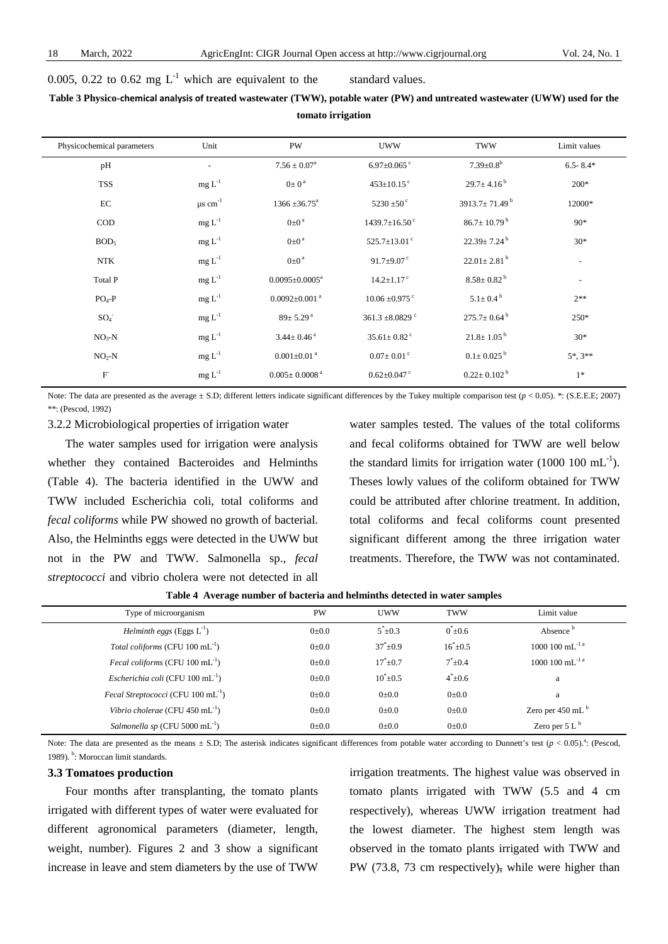0.005, 0.22 to 0.62 mg  $L^{-1}$  which are equivalent to the standard values.

# **Table 3 Physico-chemical analysis of treated wastewater (TWW), potable water (PW) and untreated wastewater (UWW) used for the tomato irrigation**

| Physicochemical parameters | Unit                     | PW                              | <b>UWW</b>                      | <b>TWW</b>                      | Limit values             |
|----------------------------|--------------------------|---------------------------------|---------------------------------|---------------------------------|--------------------------|
| pH                         | $\overline{\phantom{a}}$ | $7.56 \pm 0.07^a$               | $6.97 \pm 0.065$ °              | $7.39 \pm 0.8^b$                | $6.5 - 8.4*$             |
| <b>TSS</b>                 | $mg L-1$                 | $0 \pm 0^{\text{a}}$            | $453 \pm 10.15$ <sup>c</sup>    | $29.7 \pm 4.16^{\mathrm{b}}$    | $200*$                   |
| EC                         | $\mu$ s cm <sup>-1</sup> | $1366 \pm 36.75^{\text{a}}$     | 5230 $\pm$ 50 $\degree$         | 3913.7 $\pm$ 71.49 <sup>b</sup> | 12000*                   |
| $\rm COD$                  | $mg L^{-1}$              | $0\pm0$ <sup>a</sup>            | $1439.7 \pm 16.50$ <sup>c</sup> | $86.7 \pm 10.79^{\text{ b}}$    | $90*$                    |
| BOD <sub>5</sub>           | $mg L-1$                 | $0\pm0$ <sup>a</sup>            | 525.7 $\pm$ 13.01 $\degree$     | $22.39 \pm 7.24^{\mathrm{b}}$   | $30*$                    |
| <b>NTK</b>                 | $mg L-1$                 | $0\pm0$ <sup>a</sup>            | 91.7 $\pm$ 9.07 $\degree$       | $22.01 \pm 2.81$ <sup>b</sup>   | $\overline{\phantom{a}}$ |
| Total P                    | $mg L^{-1}$              | $0.0095 \pm 0.0005^a$           | $14.2 \pm 1.17$ <sup>c</sup>    | $8.58 \pm 0.82^{\mathrm{b}}$    | $\sim$                   |
| $PO4-P$                    | $mg L^{-1}$              | $0.0092 \pm 0.001$ <sup>a</sup> | $10.06 \pm 0.975$ <sup>c</sup>  | $5.1 \pm 0.4^{\text{ b}}$       | $2**$                    |
| $SO_4^-$                   | $mg L^{-1}$              | $89 \pm 5.29$ <sup>a</sup>      | 361.3 $\pm$ 8.0829 $\degree$    | $275.7 \pm 0.64^{\mathrm{b}}$   | $250*$                   |
| $NO3-N$                    | $mg L^{-1}$              | $3.44 \pm 0.46$ <sup>a</sup>    | $35.61 \pm 0.82$ <sup>c</sup>   | $21.8 \pm 1.05^{\text{ b}}$     | $30*$                    |
| $NO2-N$                    | $mg L-1$                 | $0.001 \pm 0.01$ <sup>a</sup>   | $0.07 \pm 0.01$ <sup>c</sup>    | $0.1 \pm 0.025^{\text{ b}}$     | $5^*$ , $3^{**}$         |
| $\mathbf{F}$               | $mg L^{-1}$              | $0.005 \pm 0.0008$ <sup>a</sup> | $0.62 \pm 0.047$ °              | $0.22 \pm 0.102^{\mathrm{b}}$   | $1*$                     |

Note: The data are presented as the average  $\pm$  S.D; different letters indicate significant differences by the Tukey multiple comparison test ( $p$  < 0.05). \*: (S.E.E.E; 2007) \*\*: (Pescod, 1992)

3.2.2 Microbiological properties of irrigation water

The water samples used for irrigation were analysis whether they contained Bacteroides and Helminths (Table 4). The bacteria identified in the UWW and TWW included Escherichia coli, total coliforms and *fecal coliforms* while PW showed no growth of bacterial. Also, the Helminths eggs were detected in the UWW but not in the PW and TWW. Salmonella sp., *fecal streptococci* and vibrio cholera were not detected in all

water samples tested. The values of the total coliforms and fecal coliforms obtained for TWW are well below the standard limits for irrigation water (1000  $100 \text{ mL}^{-1}$ ). Theses lowly values of the coliform obtained for TWW could be attributed after chlorine treatment. In addition, total coliforms and fecal coliforms count presented significant different among the three irrigation water treatments. Therefore, the TWW was not contaminated.

|  |  |  |  | Table 4 Average number of bacteria and helminths detected in water samples |
|--|--|--|--|----------------------------------------------------------------------------|
|--|--|--|--|----------------------------------------------------------------------------|

| Type of microorganism                                 | <b>PW</b>   | <b>UWW</b>     | <b>TWW</b>     | Limit value                                |
|-------------------------------------------------------|-------------|----------------|----------------|--------------------------------------------|
| <i>Helminth eggs</i> (Eggs $L^{-1}$ )                 | $0 \pm 0.0$ | $5*+0.3$       | $0^*$ + 0.6    | Absence <sup>b</sup>                       |
| Total coliforms (CFU $100 \text{ mL}^{-1}$ )          | $0 \pm 0.0$ | $37^* \pm 0.9$ | $16^* \pm 0.5$ | $1000\ 100\ \mathrm{mL}^{-1}$ <sup>a</sup> |
| <i>Fecal coliforms</i> (CFU 100 $mL^{-1}$ )           | $0 \pm 0.0$ | $17^*+0.7$     | $7^*+0.4$      | $1000~100~{\rm mL}^{-1}$ <sup>a</sup>      |
| Escherichia coli (CFU 100 mL $^{-1}$ )                | $0 \pm 0.0$ | $10^*$ ±0.5    | $4*+0.6$       | a                                          |
| <i>Fecal Streptococci</i> (CFU 100 mL <sup>-1</sup> ) | $0 \pm 0.0$ | $0 \pm 0.0$    | $0 \pm 0.0$    | a                                          |
| Vibrio cholerae (CFU 450 mL $^{-1}$ )                 | $0 \pm 0.0$ | $0 \pm 0.0$    | $0 \pm 0.0$    | Zero per 450 mL $b$                        |
| <i>Salmonella sp</i> (CFU 5000 mL $^{-1}$ )           | $0 \pm 0.0$ | $0+0.0$        | $0 \pm 0.0$    | Zero per $5 Lb$                            |

Note: The data are presented as the means  $\pm$  S.D; The asterisk indicates significant differences from potable water according to Dunnett's test  $(p < 0.05)$ .<sup>a</sup>: (Pescod, 1989). <sup>b</sup>: Moroccan limit standards.

#### **3.3 Tomatoes production**

Four months after transplanting, the tomato plants irrigated with different types of water were evaluated for different agronomical parameters (diameter, length, weight, number). Figures 2 and 3 show a significant increase in leave and stem diameters by the use of TWW

irrigation treatments. The highest value was observed in tomato plants irrigated with TWW (5.5 and 4 cm respectively), whereas UWW irrigation treatment had the lowest diameter. The highest stem length was observed in the tomato plants irrigated with TWW and PW (73.8, 73 cm respectively), while were higher than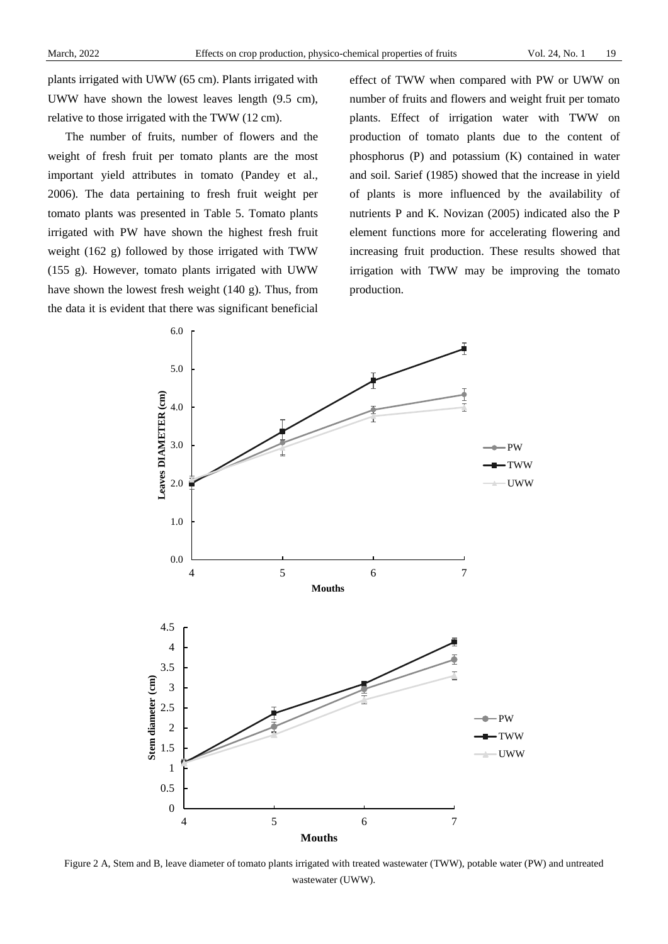plants irrigated with UWW (65 cm). Plants irrigated with UWW have shown the lowest leaves length (9.5 cm), relative to those irrigated with the TWW (12 cm).

The number of fruits, number of flowers and the weight of fresh fruit per tomato plants are the most important yield attributes in tomato (Pandey et al., 2006). The data pertaining to fresh fruit weight per tomato plants was presented in Table 5. Tomato plants irrigated with PW have shown the highest fresh fruit weight (162 g) followed by those irrigated with TWW (155 g). However, tomato plants irrigated with UWW have shown the lowest fresh weight (140 g). Thus, from the data it is evident that there was significant beneficial

effect of TWW when compared with PW or UWW on number of fruits and flowers and weight fruit per tomato plants. Effect of irrigation water with TWW on production of tomato plants due to the content of phosphorus (P) and potassium (K) contained in water and soil. Sarief (1985) showed that the increase in yield of plants is more influenced by the availability of nutrients P and K. Novizan (2005) indicated also the P element functions more for accelerating flowering and increasing fruit production. These results showed that irrigation with TWW may be improving the tomato production.



Figure 2 A, Stem and B, leave diameter of tomato plants irrigated with treated wastewater (TWW), potable water (PW) and untreated wastewater (UWW).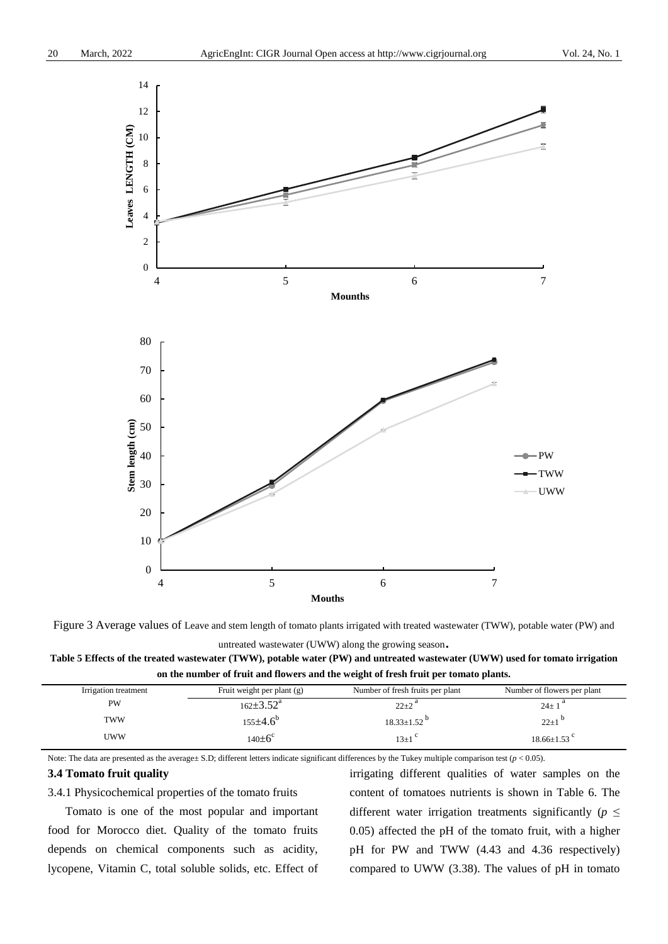

Figure 3 Average values of Leave and stem length of tomato plants irrigated with treated wastewater (TWW), potable water (PW) and

untreated wastewater (UWW) along the growing season.

**Table 5 Effects of the treated wastewater (TWW), potable water (PW) and untreated wastewater (UWW) used for tomato irrigation on the number of fruit and flowers and the weight of fresh fruit per tomato plants.**

| Irrigation treatment | Fruit weight per plant $(g)$ | Number of fresh fruits per plant | Number of flowers per plant |
|----------------------|------------------------------|----------------------------------|-----------------------------|
| PW                   | $162 \pm 3.52^{\mathrm{a}}$  | $22+2$ <sup>a</sup>              | $24 \pm 1$ <sup>a</sup>     |
| <b>TWW</b>           | $155 \pm 4.6^{\circ}$        | $18.33 \pm 1.52$ <sup>p</sup>    | $22 \pm 1$                  |
| <b>UWW</b>           | $140\pm6^\circ$              | $13\pm1$                         | $18.66\pm1.53$ <sup>c</sup> |

Note: The data are presented as the average ± S.D; different letters indicate significant differences by the Tukey multiple comparison test  $(p < 0.05)$ .

## **3.4 Tomato fruit quality**

3.4.1 Physicochemical properties of the tomato fruits

Tomato is one of the most popular and important food for Morocco diet. Quality of the tomato fruits depends on chemical components such as acidity, lycopene, Vitamin C, total soluble solids, etc. Effect of irrigating different qualities of water samples on the content of tomatoes nutrients is shown in Table 6. The different water irrigation treatments significantly ( $p \leq$ 0.05) affected the pH of the tomato fruit, with a higher pH for PW and TWW (4.43 and 4.36 respectively) compared to UWW (3.38). The values of pH in tomato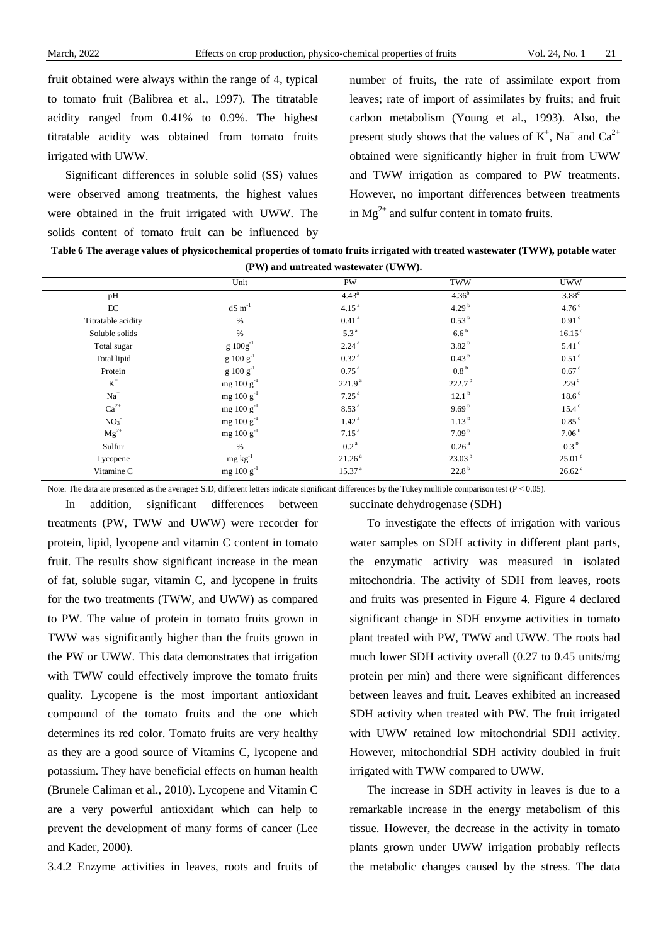fruit obtained were always within the range of 4, typical to tomato fruit (Balibrea et al., 1997). The titratable acidity ranged from 0.41% to 0.9%. The highest titratable acidity was obtained from tomato fruits irrigated with UWW.

Significant differences in soluble solid (SS) values were observed among treatments, the highest values were obtained in the fruit irrigated with UWW. The solids content of tomato fruit can be influenced by number of fruits, the rate of assimilate export from leaves; rate of import of assimilates by fruits; and fruit carbon metabolism (Young et al., 1993). Also, the present study shows that the values of  $K^+$ ,  $Na^+$  and  $Ca^{2+}$ obtained were significantly higher in fruit from UWW and TWW irrigation as compared to PW treatments. However, no important differences between treatments in  $Mg^{2+}$  and sulfur content in tomato fruits.

**Table 6 The average values of physicochemical properties of tomato fruits irrigated with treated wastewater (TWW), potable water (PW) and untreated wastewater (UWW).**

|                    | Unit             | <b>PW</b>          | <b>TWW</b>         | <b>UWW</b>           |
|--------------------|------------------|--------------------|--------------------|----------------------|
| pH                 |                  | $4.43^a$           | $4.36^{b}$         | $3.88^\circ$         |
| EC                 | $dS \, m^{-1}$   | 4.15 <sup>a</sup>  | 4.29 $^{b}$        | 4.76 <sup>c</sup>    |
| Titratable acidity | $\%$             | $0.41$ $^{\rm a}$  | 0.53 <sup>b</sup>  | 0.91 <sup>c</sup>    |
| Soluble solids     | $\%$             | 5.3 <sup>a</sup>   | 6.6 <sup>b</sup>   | 16.15 <sup>c</sup>   |
| Total sugar        | $g 100g^{-1}$    | 2.24 <sup>a</sup>  | 3.82 <sup>b</sup>  | $5.41$ °             |
| Total lipid        | $g 100 g^{-1}$   | $0.32$ $^{\rm a}$  | 0.43 <sup>b</sup>  | $0.51$ $\degree$     |
| Protein            | $g 100 g^{-1}$   | $0.75^{\text{ a}}$ | 0.8 <sup>b</sup>   | $0.67$ c             |
| $\mathbf{K}^+$     | $mg 100 g^{-1}$  | 221.9 <sup>a</sup> | 222.7 <sup>b</sup> | 229 <sup>c</sup>     |
| $Na+$              | mg $100 g^{-1}$  | 7.25 <sup>a</sup>  | 12.1 <sup>b</sup>  | $18.6^{\circ}$       |
| $\mathrm{Ca}^{2+}$ | mg $100 g^{-1}$  | $8.53\,^{\rm a}$   | 9.69 <sup>b</sup>  | 15.4 <sup>c</sup>    |
| NO <sub>3</sub>    | mg $100 g^{-1}$  | 1.42 <sup>a</sup>  | 1.13 <sup>b</sup>  | $0.85$ <sup>c</sup>  |
| $Mg^{2+}$          | mg 100 $g^{-1}$  | 7.15 <sup>a</sup>  | 7.09 <sup>b</sup>  | 7.06 <sup>b</sup>    |
| Sulfur             | $\%$             | 0.2 <sup>a</sup>   | 0.26 <sup>a</sup>  | 0.3 <sup>b</sup>     |
| Lycopene           | $mg \ kg^{-1}$   | 21.26 <sup>a</sup> | 23.03 <sup>b</sup> | $25.01^{\circ}$      |
| Vitamine C         | mg 100 g $^{-1}$ | 15.37 <sup>a</sup> | 22.8 <sup>b</sup>  | $26.62$ <sup>c</sup> |
|                    |                  |                    |                    |                      |

Note: The data are presented as the average± S.D; different letters indicate significant differences by the Tukey multiple comparison test (P < 0.05).

succinate dehydrogenase (SDH)

treatments (PW, TWW and UWW) were recorder for protein, lipid, lycopene and vitamin C content in tomato fruit. The results show significant increase in the mean of fat, soluble sugar, vitamin C, and lycopene in fruits for the two treatments (TWW, and UWW) as compared to PW. The value of protein in tomato fruits grown in TWW was significantly higher than the fruits grown in the PW or UWW. This data demonstrates that irrigation with TWW could effectively improve the tomato fruits quality. Lycopene is the most important antioxidant compound of the tomato fruits and the one which determines its red color. Tomato fruits are very healthy as they are a good source of Vitamins C, lycopene and potassium. They have beneficial effects on human health (Brunele Caliman et al., 2010). Lycopene and Vitamin C are a very powerful antioxidant which can help to prevent the development of many forms of cancer (Lee and Kader, 2000).

In addition, significant differences between

3.4.2 Enzyme activities in leaves, roots and fruits of

To investigate the effects of irrigation with various water samples on SDH activity in different plant parts, the enzymatic activity was measured in isolated mitochondria. The activity of SDH from leaves, roots and fruits was presented in Figure 4. Figure 4 declared significant change in SDH enzyme activities in tomato plant treated with PW, TWW and UWW. The roots had much lower SDH activity overall (0.27 to 0.45 units/mg protein per min) and there were significant differences between leaves and fruit. Leaves exhibited an increased SDH activity when treated with PW. The fruit irrigated with UWW retained low mitochondrial SDH activity. However, mitochondrial SDH activity doubled in fruit irrigated with TWW compared to UWW.

The increase in SDH activity in leaves is due to a remarkable increase in the energy metabolism of this tissue. However, the decrease in the activity in tomato plants grown under UWW irrigation probably reflects the metabolic changes caused by the stress. The data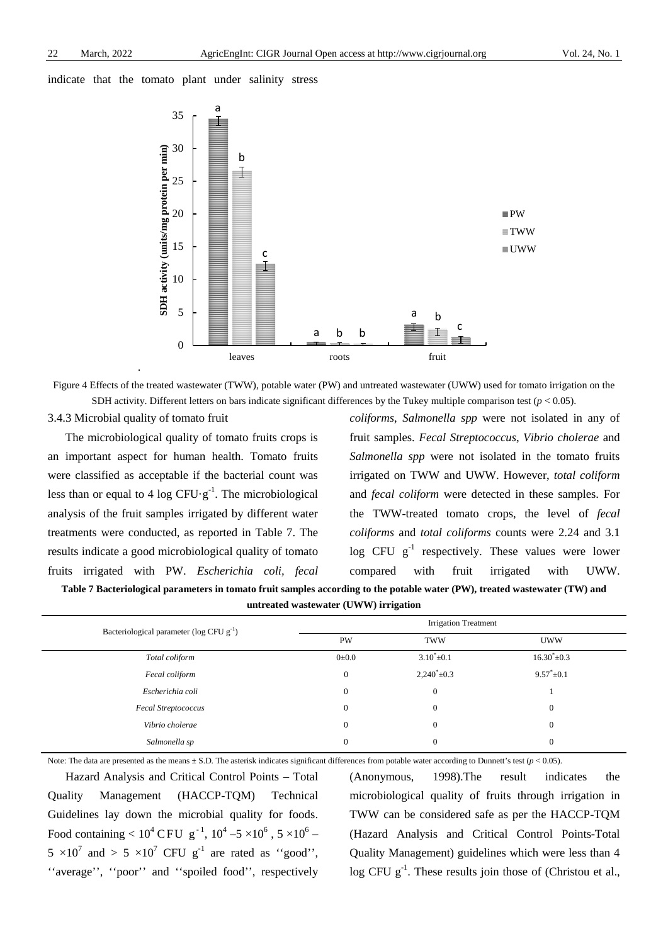indicate that the tomato plant under salinity stress



Figure 4 Effects of the treated wastewater (TWW), potable water (PW) and untreated wastewater (UWW) used for tomato irrigation on the SDH activity. Different letters on bars indicate significant differences by the Tukey multiple comparison test  $(p < 0.05)$ .

3.4.3 Microbial quality of tomato fruit

The microbiological quality of tomato fruits crops is an important aspect for human health. Tomato fruits were classified as acceptable if the bacterial count was less than or equal to 4  $\log$  CFU $\cdot$ g<sup>-1</sup>. The microbiological analysis of the fruit samples irrigated by different water treatments were conducted, as reported in Table 7. The results indicate a good microbiological quality of tomato fruits irrigated with PW. *Escherichia coli, fecal* 

*coliforms*, *Salmonella spp* were not isolated in any of fruit samples. *Fecal Streptococcus*, *Vibrio cholerae* and *Salmonella spp* were not isolated in the tomato fruits irrigated on TWW and UWW. However, *total coliform* and *fecal coliform* were detected in these samples. For the TWW-treated tomato crops, the level of *fecal coliforms* and *total coliforms* counts were 2.24 and 3.1 log CFU  $g^{-1}$  respectively. These values were lower compared with fruit irrigated with UWW.

**Table 7 Bacteriological parameters in tomato fruit samples according to the potable water (PW), treated wastewater (TW) and** 

**untreated wastewater (UWW) irrigation**

| Bacteriological parameter ( $log CFU g^{-1}$ ) | <b>Irrigation Treatment</b> |                         |                         |  |
|------------------------------------------------|-----------------------------|-------------------------|-------------------------|--|
|                                                | <b>PW</b>                   | <b>TWW</b>              | <b>UWW</b>              |  |
| Total coliform                                 | $0\pm 0.0$                  | $3.10^* \pm 0.1$        | $16.30^{\circ} \pm 0.3$ |  |
| Fecal coliform                                 | $\mathbf{0}$                | $2,240^{\circ} \pm 0.3$ | $9.57^* \pm 0.1$        |  |
| Escherichia coli                               | $\mathbf{0}$                | $\mathbf{0}$            |                         |  |
| <b>Fecal Streptococcus</b>                     | $\mathbf{0}$                | $\boldsymbol{0}$        | $\theta$                |  |
| Vibrio cholerae                                | $\mathbf{0}$                | $\mathbf{0}$            | $\Omega$                |  |
| Salmonella sp                                  | 0                           | $\boldsymbol{0}$        |                         |  |

Note: The data are presented as the means  $\pm$  S.D. The asterisk indicates significant differences from potable water according to Dunnett's test ( $p$  < 0.05).

Hazard Analysis and Critical Control Points – Total Quality Management (HACCP-TQM) Technical Guidelines lay down the microbial quality for foods. Food containing  $< 10^4$  CFU  $\mathrm{g}^{-1}$ ,  $10^4$  –5  $\times 10^6$  , 5  $\times 10^6$  –  $5 \times 10^7$  and  $> 5 \times 10^7$  CFU g<sup>-1</sup> are rated as "good". ''average'', ''poor'' and ''spoiled food'', respectively (Anonymous, 1998).The result indicates the microbiological quality of fruits through irrigation in TWW can be considered safe as per the HACCP-TQM (Hazard Analysis and Critical Control Points-Total Quality Management) guidelines which were less than 4 log CFU g<sup>-1</sup>. These results join those of (Christou et al.,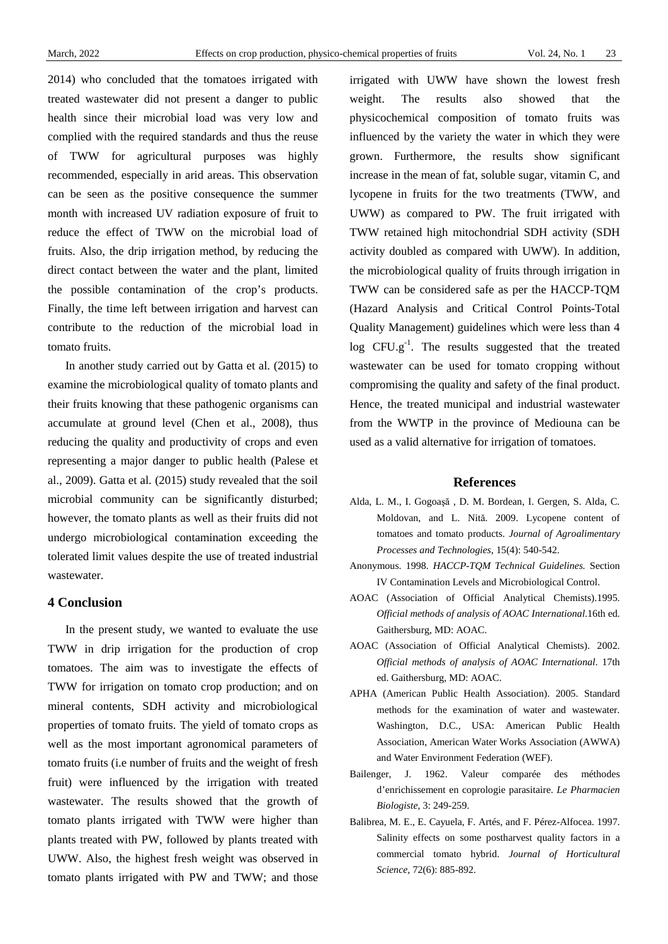2014) who concluded that the tomatoes irrigated with treated wastewater did not present a danger to public health since their microbial load was very low and complied with the required standards and thus the reuse of TWW for agricultural purposes was highly recommended, especially in arid areas. This observation can be seen as the positive consequence the summer month with increased UV radiation exposure of fruit to reduce the effect of TWW on the microbial load of fruits. Also, the drip irrigation method, by reducing the direct contact between the water and the plant, limited the possible contamination of the crop's products. Finally, the time left between irrigation and harvest can contribute to the reduction of the microbial load in tomato fruits.

In another study carried out by Gatta et al. (2015) to examine the microbiological quality of tomato plants and their fruits knowing that these pathogenic organisms can accumulate at ground level (Chen et al., 2008), thus reducing the quality and productivity of crops and even representing a major danger to public health (Palese et al., 2009). Gatta et al. (2015) study revealed that the soil microbial community can be significantly disturbed; however, the tomato plants as well as their fruits did not undergo microbiological contamination exceeding the tolerated limit values despite the use of treated industrial wastewater.

# **4 Conclusion**

In the present study, we wanted to evaluate the use TWW in drip irrigation for the production of crop tomatoes. The aim was to investigate the effects of TWW for irrigation on tomato crop production; and on mineral contents, SDH activity and microbiological properties of tomato fruits. The yield of tomato crops as well as the most important agronomical parameters of tomato fruits (i.e number of fruits and the weight of fresh fruit) were influenced by the irrigation with treated wastewater. The results showed that the growth of tomato plants irrigated with TWW were higher than plants treated with PW, followed by plants treated with UWW. Also, the highest fresh weight was observed in tomato plants irrigated with PW and TWW; and those

irrigated with UWW have shown the lowest fresh weight. The results also showed that the physicochemical composition of tomato fruits was influenced by the variety the water in which they were grown. Furthermore, the results show significant increase in the mean of fat, soluble sugar, vitamin C, and lycopene in fruits for the two treatments (TWW, and UWW) as compared to PW. The fruit irrigated with TWW retained high mitochondrial SDH activity (SDH activity doubled as compared with UWW). In addition, the microbiological quality of fruits through irrigation in TWW can be considered safe as per the HACCP-TQM (Hazard Analysis and Critical Control Points-Total Quality Management) guidelines which were less than 4 log CFU.g<sup>-1</sup>. The results suggested that the treated wastewater can be used for tomato cropping without compromising the quality and safety of the final product. Hence, the treated municipal and industrial wastewater from the WWTP in the province of Mediouna can be used as a valid alternative for irrigation of tomatoes.

## **References**

- Alda, L. M., I. Gogoaşă , D. M. Bordean, I. Gergen, S. Alda, C. Moldovan, and L. Nită. 2009. Lycopene content of tomatoes and tomato products. *Journal of Agroalimentary Processes and Technologies*, 15(4): 540-542.
- Anonymous. 1998. *HACCP-TQM Technical Guidelines.* Section IV Contamination Levels and Microbiological Control.
- AOAC (Association of Official Analytical Chemists).1995. *Official methods of analysis of AOAC International*.16th ed. Gaithersburg, MD: AOAC.
- AOAC (Association of Official Analytical Chemists). 2002. *Official methods of analysis of AOAC International*. 17th ed. Gaithersburg, MD: AOAC.
- APHA (American Public Health Association). 2005. Standard methods for the examination of water and wastewater. Washington, D.C., USA: American Public Health Association, American Water Works Association (AWWA) and Water Environment Federation (WEF).
- Bailenger, J. 1962. Valeur comparée des méthodes d'enrichissement en coprologie parasitaire. *Le Pharmacien Biologiste*, 3: 249-259.
- Balibrea, M. E., E. Cayuela, F. Artés, and F. Pérez-Alfocea. 1997. Salinity effects on some postharvest quality factors in a commercial tomato hybrid. *Journal of Horticultural Science*, 72(6): 885-892.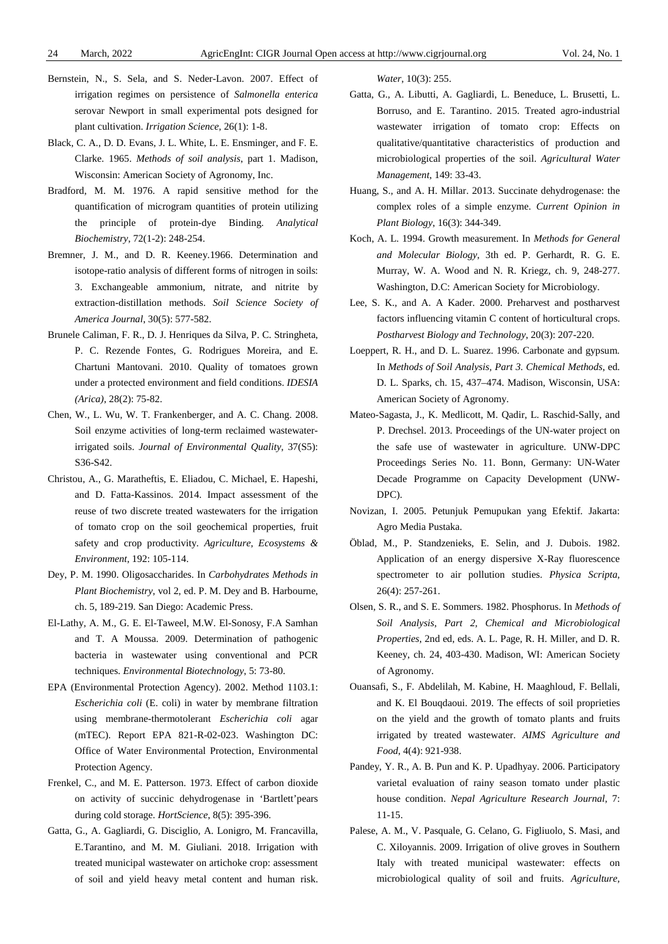- Bernstein, N., S. Sela, and S. Neder-Lavon. 2007. Effect of irrigation regimes on persistence of *Salmonella enterica* serovar Newport in small experimental pots designed for plant cultivation. *Irrigation Science*, 26(1): 1-8.
- Black, C. A., D. D. Evans, J. L. White, L. E. Ensminger, and F. E. Clarke. 1965. *Methods of soil analysis*, part 1. Madison, Wisconsin: American Society of Agronomy, Inc.
- Bradford, M. M. 1976. A rapid sensitive method for the quantification of microgram quantities of protein utilizing the principle of protein-dye Binding. *Analytical Biochemistry*, 72(1-2): 248-254.
- Bremner, J. M., and D. R. Keeney.1966. Determination and isotope-ratio analysis of different forms of nitrogen in soils: 3. Exchangeable ammonium, nitrate, and nitrite by extraction-distillation methods. *[Soil Science Society of](http://www.speciation.net/Database/Journals/Soil-Science-Society-of-America-Proceedings-;i234)  America Journal*[, 30\(5\): 577-582.](http://www.speciation.net/Database/Journals/Soil-Science-Society-of-America-Proceedings-;i234)
- Brunele Caliman, F. R., D. J. Henriques da Silva, P. C. Stringheta, P. C. Rezende Fontes, G. Rodrigues Moreira, and E. Chartuni Mantovani. 2010. Quality of tomatoes grown under a protected environment and field conditions. *IDESIA (Arica)*, 28(2): 75-82.
- Chen, W., L. Wu, W. T. Frankenberger, and A. C. Chang. 2008. Soil enzyme activities of long-term reclaimed wastewaterirrigated soils. *Journal of Environmental Quality*, 37(S5): S36-S42.
- Christou, A., G. Maratheftis, E. Eliadou, C. Michael, E. Hapeshi, and D. Fatta-Kassinos. 2014. Impact assessment of the reuse of two discrete treated wastewaters for the irrigation of tomato crop on the soil geochemical properties, fruit safety and crop productivity. *Agriculture, Ecosystems & Environment*, 192: 105-114.
- Dey, P. M. 1990. Oligosaccharides. In *Carbohydrates Methods in Plant Biochemistry*, vol 2, ed. P. M. Dey and B. Harbourne, ch. 5, 189-219. San Diego: Academic Press.
- El-Lathy, A. M., G. E. El-Taweel, M.W. El-Sonosy, F.A Samhan and T. A Moussa. 2009. Determination of pathogenic bacteria in wastewater using conventional and PCR techniques. *Environmental Biotechnology*, 5: 73-80.
- EPA (Environmental Protection Agency). 2002. Method 1103.1: *Escherichia coli* (E. coli) in water by membrane filtration using membrane-thermotolerant *Escherichia coli* agar (mTEC). Report EPA 821-R-02-023. Washington DC: Office of Water Environmental Protection, Environmental Protection Agency.
- Frenkel, C., and M. E. Patterson. 1973. Effect of carbon dioxide on activity of succinic dehydrogenase in 'Bartlett'pears during cold storage. *HortScience*, 8(5): 395-396.
- Gatta, G., A. Gagliardi, G. Disciglio, A. Lonigro, M. Francavilla, E.Tarantino, and M. M. Giuliani. 2018. Irrigation with treated municipal wastewater on artichoke crop: assessment of soil and yield heavy metal content and human risk.

*Water*, 10(3): 255.

- Gatta, G., A. Libutti, A. Gagliardi, L. Beneduce, L. Brusetti, L. Borruso, and E. Tarantino. 2015. Treated agro-industrial wastewater irrigation of tomato crop: Effects on qualitative/quantitative characteristics of production and microbiological properties of the soil. *Agricultural Water Management*, 149: 33-43.
- Huang, S., and A. H. Millar. 2013. Succinate dehydrogenase: the complex roles of a simple enzyme. *Current Opinion in Plant Biology*, 16(3): 344-349.
- Koch, A. L. 1994. Growth measurement. In *Methods for General and Molecular Biology*, 3th ed. P. Gerhardt, R. G. E. Murray, W. A. Wood and N. R. Kriegz, ch. 9, 248-277. Washington, D.C: American Society for Microbiology.
- Lee, S. K., and A. A Kader. 2000. Preharvest and postharvest factors influencing vitamin C content of horticultural crops. *Postharvest Biology and Technology*, 20(3): 207-220.
- Loeppert, R. H., and D. L. Suarez. 1996. Carbonate and gypsum. In *Methods of Soil Analysis, Part 3. Chemical Methods*, ed. D. L. Sparks, ch. 15, 437–474. Madison, Wisconsin, USA: American Society of Agronomy.
- Mateo-Sagasta, J., K. Medlicott, M. Qadir, L. Raschid-Sally, and P. Drechsel. 2013. Proceedings of the UN-water project on the safe use of wastewater in agriculture. UNW-DPC Proceedings Series No. 11. Bonn, Germany: UN-Water Decade Programme on Capacity Development (UNW-DPC).
- Novizan, I. 2005. Petunjuk Pemupukan yang Efektif. Jakarta: Agro Media Pustaka.
- Öblad, M., P. Standzenieks, E. Selin, and J. Dubois. 1982. Application of an energy dispersive X-Ray fluorescence spectrometer to air pollution studies. *Physica Scripta*, 26(4): 257-261.
- Olsen, S. R., and S. E. Sommers. 1982. Phosphorus. In *Methods of Soil Analysis*, *Part 2, Chemical and Microbiological Properties*, 2nd ed, eds. A. L. Page, R. H. Miller, and D. R. Keeney, ch. 24, 403-430. Madison, WI: American Society of Agronomy.
- Ouansafi, S., F. Abdelilah, M. Kabine, H. Maaghloud, F. Bellali, and K. El Bouqdaoui. 2019. The effects of soil proprieties on the yield and the growth of tomato plants and fruits irrigated by treated wastewater. *AIMS Agriculture and Food*, 4(4): 921-938.
- Pandey, Y. R., A. B. Pun and K. P. Upadhyay. 2006. Participatory varietal evaluation of rainy season tomato under plastic house condition. *Nepal Agriculture Research Journal*, 7: 11-15.
- Palese, A. M., V. Pasquale, G. Celano, G. Figliuolo, S. Masi, and C. Xiloyannis. 2009. Irrigation of olive groves in Southern Italy with treated municipal wastewater: effects on microbiological quality of soil and fruits. *Agriculture,*